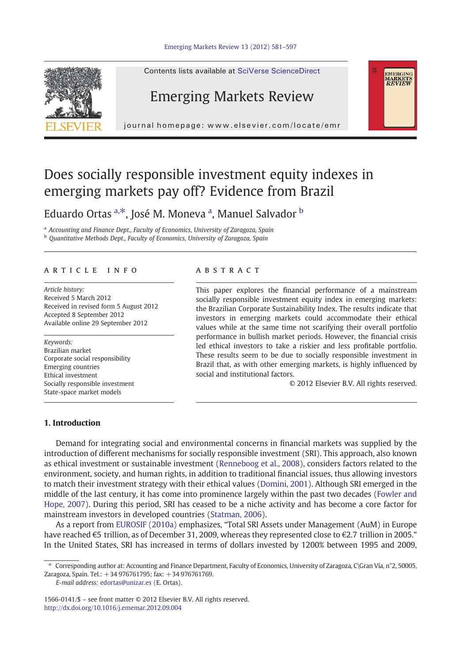

Contents lists available at SciVerse ScienceDirect

# Emerging Markets Review

journal homepage: www.elsevier.com/locate/emr

# Does socially responsible investment equity indexes in emerging markets pay off? Evidence from Brazil

Eduardo Ortas <sup>a, $*$ </sup>, José M. Moneva <sup>a</sup>, Manuel Salvador <sup>b</sup>

<sup>a</sup> Accounting and Finance Dept., Faculty of Economics, University of Zaragoza, Spain

<sup>b</sup> Quantitative Methods Dept., Faculty of Economics, University of Zaragoza, Spain

#### article info abstract

Article history: Received 5 March 2012 Received in revised form 5 August 2012 Accepted 8 September 2012 Available online 29 September 2012

#### Keywords:

Brazilian market Corporate social responsibility Emerging countries Ethical investment Socially responsible investment State-space market models

This paper explores the financial performance of a mainstream socially responsible investment equity index in emerging markets: the Brazilian Corporate Sustainability Index. The results indicate that investors in emerging markets could accommodate their ethical values while at the same time not scarifying their overall portfolio performance in bullish market periods. However, the financial crisis led ethical investors to take a riskier and less profitable portfolio. These results seem to be due to socially responsible investment in Brazil that, as with other emerging markets, is highly influenced by social and institutional factors.

© 2012 Elsevier B.V. All rights reserved.

EMERGING<br>MARKETS<br>*REVIEW* 

### 1. Introduction

Demand for integrating social and environmental concerns in financial markets was supplied by the introduction of different mechanisms for socially responsible investment (SRI). This approach, also known as ethical investment or sustainable investment [\(Renneboog et al., 2008\)](#page--1-0), considers factors related to the environment, society, and human rights, in addition to traditional financial issues, thus allowing investors to match their investment strategy with their ethical values [\(Domini, 2001](#page--1-0)). Although SRI emerged in the middle of the last century, it has come into prominence largely within the past two decades [\(Fowler and](#page--1-0) [Hope, 2007](#page--1-0)). During this period, SRI has ceased to be a niche activity and has become a core factor for mainstream investors in developed countries [\(Statman, 2006\)](#page--1-0).

As a report from [EUROSIF \(2010a\)](#page--1-0) emphasizes, "Total SRI Assets under Management (AuM) in Europe have reached €5 trillion, as of December 31, 2009, whereas they represented close to €2.7 trillion in 2005." In the United States, SRI has increased in terms of dollars invested by 1200% between 1995 and 2009,

E-mail address: [edortas@unizar.es](mailto:edortas@unizar.es) (E. Ortas).

<sup>⁎</sup> Corresponding author at: Accounting and Finance Department, Faculty of Economics, University of Zaragoza, C\Gran Vía, n°2, 50005, Zaragoza, Spain. Tel.: +34 976761795; fax: +34 976761769.

<sup>1566-0141/\$</sup> – see front matter © 2012 Elsevier B.V. All rights reserved. <http://dx.doi.org/10.1016/j.ememar.2012.09.004>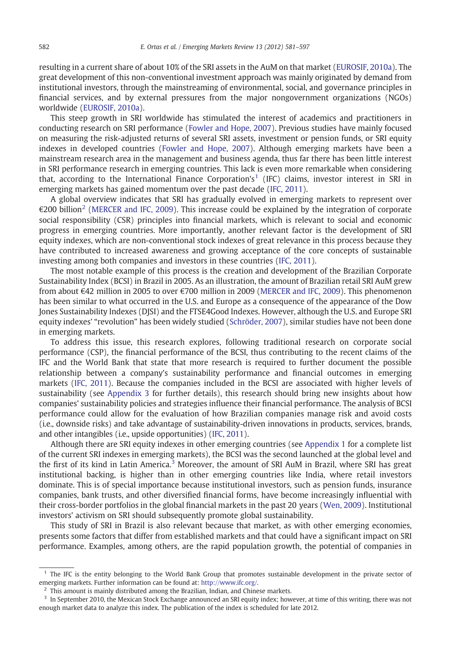resulting in a current share of about 10% of the SRI assets in the AuM on that market [\(EUROSIF, 2010a](#page--1-0)). The great development of this non-conventional investment approach was mainly originated by demand from institutional investors, through the mainstreaming of environmental, social, and governance principles in financial services, and by external pressures from the major nongovernment organizations (NGOs) worldwide [\(EUROSIF, 2010a](#page--1-0)).

This steep growth in SRI worldwide has stimulated the interest of academics and practitioners in conducting research on SRI performance ([Fowler and Hope, 2007\)](#page--1-0). Previous studies have mainly focused on measuring the risk-adjusted returns of several SRI assets, investment or pension funds, or SRI equity indexes in developed countries [\(Fowler and Hope, 2007](#page--1-0)). Although emerging markets have been a mainstream research area in the management and business agenda, thus far there has been little interest in SRI performance research in emerging countries. This lack is even more remarkable when considering that, according to the International Finance Corporation's<sup>1</sup> (IFC) claims, investor interest in SRI in emerging markets has gained momentum over the past decade [\(IFC, 2011\)](#page--1-0).

A global overview indicates that SRI has gradually evolved in emerging markets to represent over  $\epsilon$ 200 billion<sup>2</sup> [\(MERCER and IFC, 2009\)](#page--1-0). This increase could be explained by the integration of corporate social responsibility (CSR) principles into financial markets, which is relevant to social and economic progress in emerging countries. More importantly, another relevant factor is the development of SRI equity indexes, which are non-conventional stock indexes of great relevance in this process because they have contributed to increased awareness and growing acceptance of the core concepts of sustainable investing among both companies and investors in these countries [\(IFC, 2011\)](#page--1-0).

The most notable example of this process is the creation and development of the Brazilian Corporate Sustainability Index (BCSI) in Brazil in 2005. As an illustration, the amount of Brazilian retail SRI AuM grew from about €42 million in 2005 to over €700 million in 2009 [\(MERCER and IFC, 2009](#page--1-0)). This phenomenon has been similar to what occurred in the U.S. and Europe as a consequence of the appearance of the Dow Jones Sustainability Indexes (DJSI) and the FTSE4Good Indexes. However, although the U.S. and Europe SRI equity indexes' "revolution" has been widely studied ([Schröder, 2007](#page--1-0)), similar studies have not been done in emerging markets.

To address this issue, this research explores, following traditional research on corporate social performance (CSP), the financial performance of the BCSI, thus contributing to the recent claims of the IFC and the World Bank that state that more research is required to further document the possible relationship between a company's sustainability performance and financial outcomes in emerging markets [\(IFC, 2011\)](#page--1-0). Because the companies included in the BCSI are associated with higher levels of sustainability (see [Appendix 3](#page--1-0) for further details), this research should bring new insights about how companies' sustainability policies and strategies influence their financial performance. The analysis of BCSI performance could allow for the evaluation of how Brazilian companies manage risk and avoid costs (i.e., downside risks) and take advantage of sustainability-driven innovations in products, services, brands, and other intangibles (i.e., upside opportunities) ([IFC, 2011](#page--1-0)).

Although there are SRI equity indexes in other emerging countries (see [Appendix 1](#page--1-0) for a complete list of the current SRI indexes in emerging markets), the BCSI was the second launched at the global level and the first of its kind in Latin America.<sup>3</sup> Moreover, the amount of SRI AuM in Brazil, where SRI has great institutional backing, is higher than in other emerging countries like India, where retail investors dominate. This is of special importance because institutional investors, such as pension funds, insurance companies, bank trusts, and other diversified financial forms, have become increasingly influential with their cross-border portfolios in the global financial markets in the past 20 years ([Wen, 2009\)](#page--1-0). Institutional investors' activism on SRI should subsequently promote global sustainability.

This study of SRI in Brazil is also relevant because that market, as with other emerging economies, presents some factors that differ from established markets and that could have a significant impact on SRI performance. Examples, among others, are the rapid population growth, the potential of companies in

<sup>&</sup>lt;sup>1</sup> The IFC is the entity belonging to the World Bank Group that promotes sustainable development in the private sector of emerging markets. Further information can be found at: [http://www.ifc.org/.](http://www.ifc.org/)

 $2$  This amount is mainly distributed among the Brazilian, Indian, and Chinese markets.

<sup>&</sup>lt;sup>3</sup> In September 2010, the Mexican Stock Exchange announced an SRI equity index; however, at time of this writing, there was not enough market data to analyze this index. The publication of the index is scheduled for late 2012.